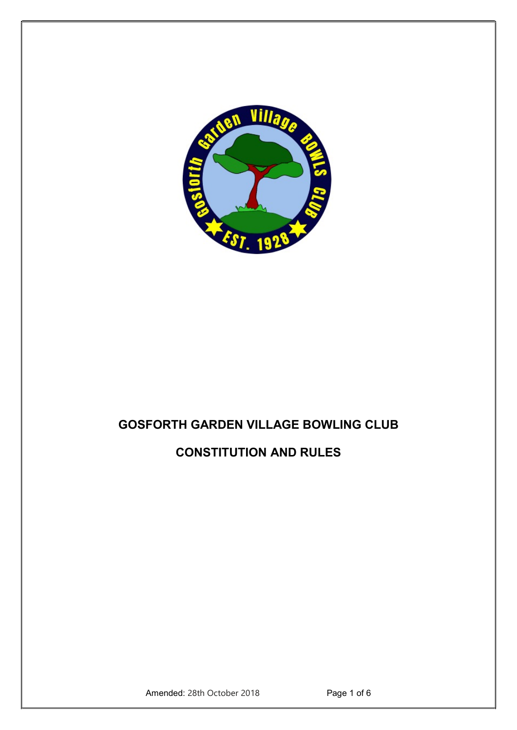

# GOSFORTH GARDEN VILLAGE BOWLING CLUB

# CONSTITUTION AND RULES

Amended: 28th October 2018 Page 1 of 6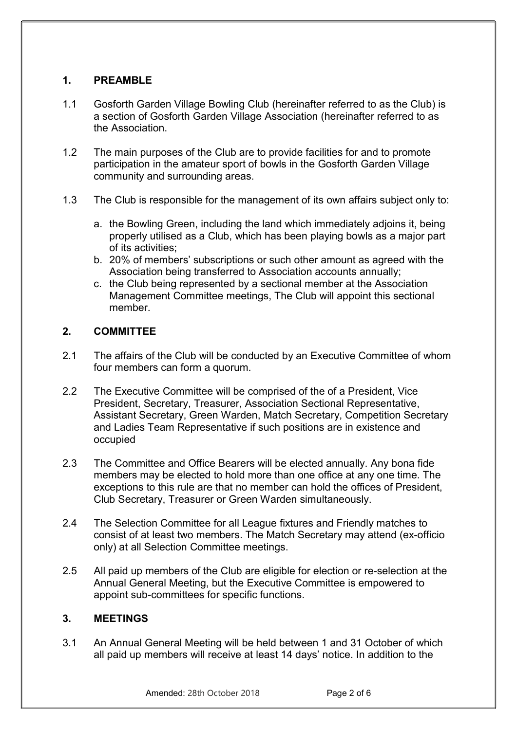## 1. PREAMBLE

- 1.1 Gosforth Garden Village Bowling Club (hereinafter referred to as the Club) is a section of Gosforth Garden Village Association (hereinafter referred to as the Association.
- 1.2 The main purposes of the Club are to provide facilities for and to promote participation in the amateur sport of bowls in the Gosforth Garden Village community and surrounding areas.
- 1.3 The Club is responsible for the management of its own affairs subject only to:
	- a. the Bowling Green, including the land which immediately adjoins it, being properly utilised as a Club, which has been playing bowls as a major part of its activities;
	- b. 20% of members' subscriptions or such other amount as agreed with the Association being transferred to Association accounts annually;
	- c. the Club being represented by a sectional member at the Association Management Committee meetings, The Club will appoint this sectional member.

## 2. COMMITTEE

- 2.1 The affairs of the Club will be conducted by an Executive Committee of whom four members can form a quorum.
- 2.2 The Executive Committee will be comprised of the of a President, Vice President, Secretary, Treasurer, Association Sectional Representative, Assistant Secretary, Green Warden, Match Secretary, Competition Secretary and Ladies Team Representative if such positions are in existence and occupied
- 2.3 The Committee and Office Bearers will be elected annually. Any bona fide members may be elected to hold more than one office at any one time. The exceptions to this rule are that no member can hold the offices of President, Club Secretary, Treasurer or Green Warden simultaneously.
- 2.4 The Selection Committee for all League fixtures and Friendly matches to consist of at least two members. The Match Secretary may attend (ex-officio only) at all Selection Committee meetings.
- 2.5 All paid up members of the Club are eligible for election or re-selection at the Annual General Meeting, but the Executive Committee is empowered to appoint sub-committees for specific functions.

## 3. MEETINGS

3.1 An Annual General Meeting will be held between 1 and 31 October of which all paid up members will receive at least 14 days' notice. In addition to the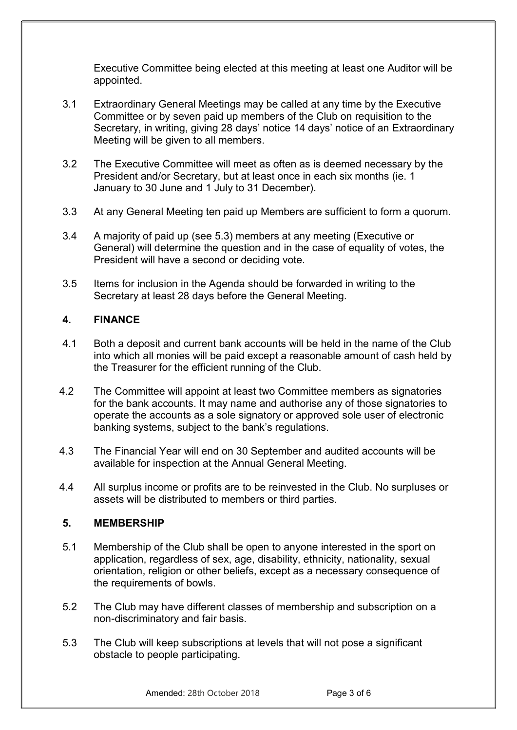Executive Committee being elected at this meeting at least one Auditor will be appointed.

- 3.1 Extraordinary General Meetings may be called at any time by the Executive Committee or by seven paid up members of the Club on requisition to the Secretary, in writing, giving 28 days' notice 14 days' notice of an Extraordinary Meeting will be given to all members.
- 3.2 The Executive Committee will meet as often as is deemed necessary by the President and/or Secretary, but at least once in each six months (ie. 1 January to 30 June and 1 July to 31 December).
- 3.3 At any General Meeting ten paid up Members are sufficient to form a quorum.
- 3.4 A majority of paid up (see 5.3) members at any meeting (Executive or General) will determine the question and in the case of equality of votes, the President will have a second or deciding vote.
- 3.5 Items for inclusion in the Agenda should be forwarded in writing to the Secretary at least 28 days before the General Meeting.

# 4. FINANCE

- 4.1 Both a deposit and current bank accounts will be held in the name of the Club into which all monies will be paid except a reasonable amount of cash held by the Treasurer for the efficient running of the Club.
- 4.2 The Committee will appoint at least two Committee members as signatories for the bank accounts. It may name and authorise any of those signatories to operate the accounts as a sole signatory or approved sole user of electronic banking systems, subject to the bank's regulations.
- 4.3 The Financial Year will end on 30 September and audited accounts will be available for inspection at the Annual General Meeting.
- 4.4 All surplus income or profits are to be reinvested in the Club. No surpluses or assets will be distributed to members or third parties.

## 5. MEMBERSHIP

- 5.1 Membership of the Club shall be open to anyone interested in the sport on application, regardless of sex, age, disability, ethnicity, nationality, sexual orientation, religion or other beliefs, except as a necessary consequence of the requirements of bowls.
- 5.2 The Club may have different classes of membership and subscription on a non-discriminatory and fair basis.
- 5.3 The Club will keep subscriptions at levels that will not pose a significant obstacle to people participating.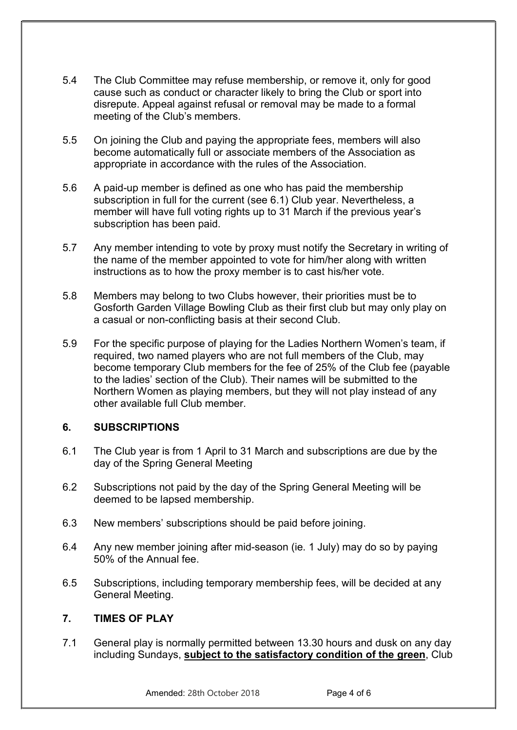- 5.4 The Club Committee may refuse membership, or remove it, only for good cause such as conduct or character likely to bring the Club or sport into disrepute. Appeal against refusal or removal may be made to a formal meeting of the Club's members.
- 5.5 On joining the Club and paying the appropriate fees, members will also become automatically full or associate members of the Association as appropriate in accordance with the rules of the Association.
- 5.6 A paid-up member is defined as one who has paid the membership subscription in full for the current (see 6.1) Club year. Nevertheless, a member will have full voting rights up to 31 March if the previous year's subscription has been paid.
- 5.7 Any member intending to vote by proxy must notify the Secretary in writing of the name of the member appointed to vote for him/her along with written instructions as to how the proxy member is to cast his/her vote.
- 5.8 Members may belong to two Clubs however, their priorities must be to Gosforth Garden Village Bowling Club as their first club but may only play on a casual or non-conflicting basis at their second Club.
- 5.9 For the specific purpose of playing for the Ladies Northern Women's team, if required, two named players who are not full members of the Club, may become temporary Club members for the fee of 25% of the Club fee (payable to the ladies' section of the Club). Their names will be submitted to the Northern Women as playing members, but they will not play instead of any other available full Club member.

## 6. SUBSCRIPTIONS

- 6.1 The Club year is from 1 April to 31 March and subscriptions are due by the day of the Spring General Meeting
- 6.2 Subscriptions not paid by the day of the Spring General Meeting will be deemed to be lapsed membership.
- 6.3 New members' subscriptions should be paid before joining.
- 6.4 Any new member joining after mid-season (ie. 1 July) may do so by paying 50% of the Annual fee.
- 6.5 Subscriptions, including temporary membership fees, will be decided at any General Meeting.

# 7. TIMES OF PLAY

7.1 General play is normally permitted between 13.30 hours and dusk on any day including Sundays, subject to the satisfactory condition of the green, Club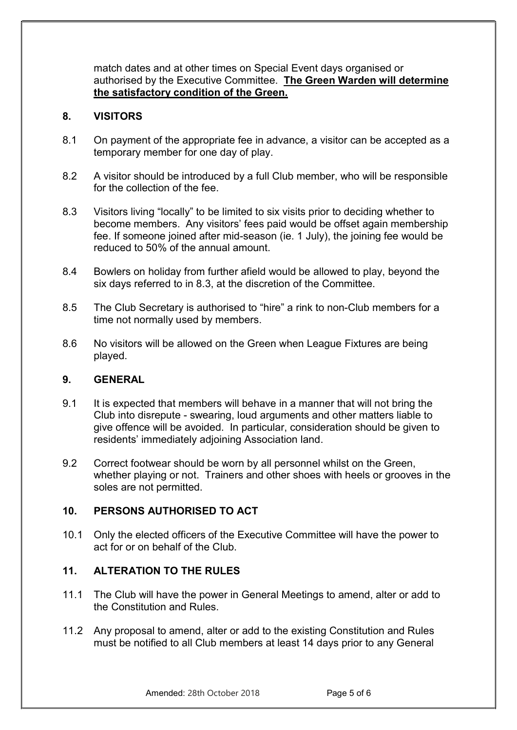match dates and at other times on Special Event days organised or authorised by the Executive Committee. The Green Warden will determine the satisfactory condition of the Green.

## 8. VISITORS

- 8.1 On payment of the appropriate fee in advance, a visitor can be accepted as a temporary member for one day of play.
- 8.2 A visitor should be introduced by a full Club member, who will be responsible for the collection of the fee.
- 8.3 Visitors living "locally" to be limited to six visits prior to deciding whether to become members. Any visitors' fees paid would be offset again membership fee. If someone joined after mid-season (ie. 1 July), the joining fee would be reduced to 50% of the annual amount.
- 8.4 Bowlers on holiday from further afield would be allowed to play, beyond the six days referred to in 8.3, at the discretion of the Committee.
- 8.5 The Club Secretary is authorised to "hire" a rink to non-Club members for a time not normally used by members.
- 8.6 No visitors will be allowed on the Green when League Fixtures are being played.

## 9. GENERAL

- 9.1 It is expected that members will behave in a manner that will not bring the Club into disrepute - swearing, loud arguments and other matters liable to give offence will be avoided. In particular, consideration should be given to residents' immediately adjoining Association land.
- 9.2 Correct footwear should be worn by all personnel whilst on the Green, whether playing or not. Trainers and other shoes with heels or grooves in the soles are not permitted.

## 10. PERSONS AUTHORISED TO ACT

10.1 Only the elected officers of the Executive Committee will have the power to act for or on behalf of the Club.

## 11. ALTERATION TO THE RULES

- 11.1 The Club will have the power in General Meetings to amend, alter or add to the Constitution and Rules.
- 11.2 Any proposal to amend, alter or add to the existing Constitution and Rules must be notified to all Club members at least 14 days prior to any General